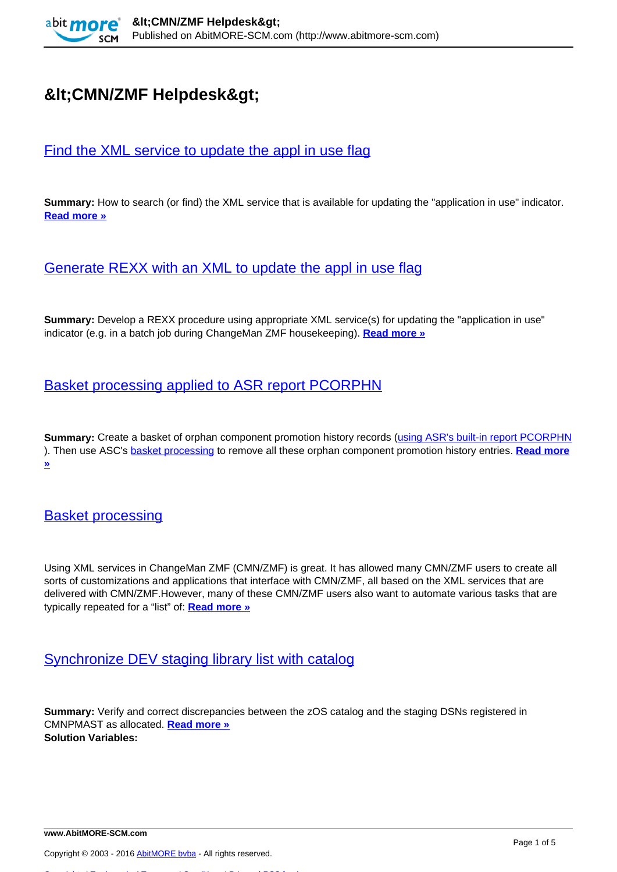

# $Alt$ ; CMN/ZMF Helpdesk>

## [Find the XML service to update the appl in use flag](http://www.abitmore-scm.com/products/commander/usecases/find-an-xml-service)

**Summary:** How to search (or find) the XML service that is available for updating the "application in use" indicator. **[Read more »](http://www.abitmore-scm.com/products/commander/usecases/find-an-xml-service)**

## [Generate REXX with an XML to update the appl in use flag](http://www.abitmore-scm.com/products/commander/usecases/generate-rexx-to-reset-isApplBusy)

**Summary:** Develop a REXX procedure using appropriate XML service(s) for updating the "application in use" indicator (e.g. in a batch job during ChangeMan ZMF housekeeping). **[Read more »](http://www.abitmore-scm.com/products/commander/usecases/generate-rexx-to-reset-isApplBusy)**

## [Basket processing applied to ASR report PCORPHN](http://www.abitmore-scm.com/products/commander/usecases/remove-orphan-promotion-history)

**Summary:** Create a basket of orphan component promotion history records ([using ASR's built-in report PCORPHN](http://www.abitmore-scm.com/products/reporting/builtin-reports/pcorphn) ). Then use ASC's [basket processing](http://www.abitmore-scm.com/products/commander/features/basket-processing) to remove all these orphan component promotion history entries. **[Read more](http://www.abitmore-scm.com/products/commander/usecases/remove-orphan-promotion-history) [»](http://www.abitmore-scm.com/products/commander/usecases/remove-orphan-promotion-history)**

#### **[Basket processing](http://www.abitmore-scm.com/products/commander/features/basket-processing)**

Using XML services in ChangeMan ZMF (CMN/ZMF) is great. It has allowed many CMN/ZMF users to create all sorts of customizations and applications that interface with CMN/ZMF, all based on the XML services that are delivered with CMN/ZMF.However, many of these CMN/ZMF users also want to automate various tasks that are typically repeated for a "list" of: **[Read more »](http://www.abitmore-scm.com/products/commander/features/basket-processing)**

#### [Synchronize DEV staging library list with catalog](http://www.abitmore-scm.com/products/commander/builtin-solutions/ascz0103)

**Summary:** Verify and correct discrepancies between the zOS catalog and the staging DSNs registered in CMNPMAST as allocated. **[Read more »](http://www.abitmore-scm.com/products/commander/builtin-solutions/ascz0103) Solution Variables:** 

[Copyrights](http://www.abitmore-scm.com/legal/copyrights) | [Trademarks](http://www.abitmore-scm.com/legal/trademarks) | [Terms and Conditions](http://www.abitmore-scm.com/legal/terms) | [Privacy](http://www.abitmore-scm.com/legal/privacy) | [RSS feeds](http://www.abitmore-scm.com/rss.xml)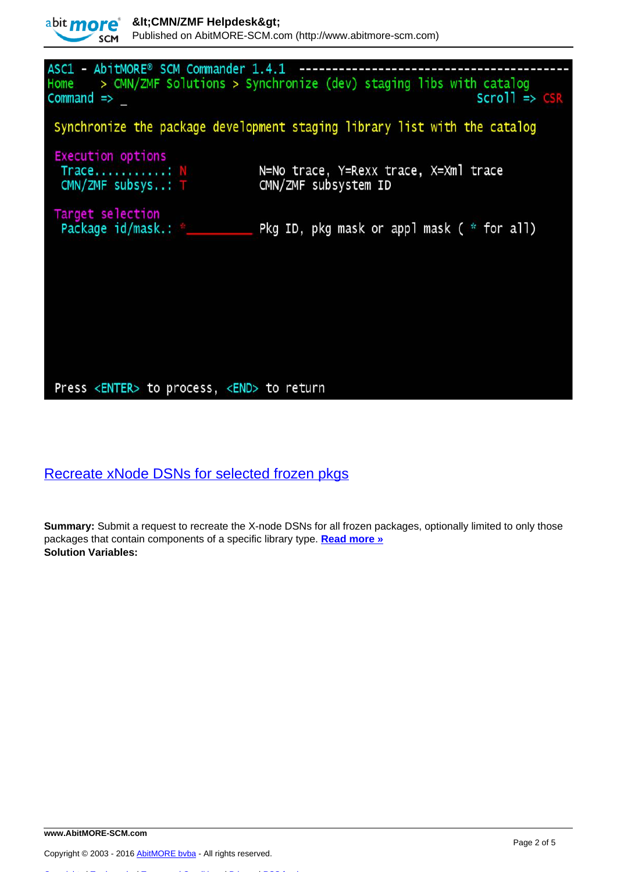

## [Recreate xNode DSNs for selected frozen pkgs](http://www.abitmore-scm.com/products/commander/builtin-solutions/ascz0051)

**Summary:** Submit a request to recreate the X-node DSNs for all frozen packages, optionally limited to only those packages that contain components of a specific library type. **[Read more »](http://www.abitmore-scm.com/products/commander/builtin-solutions/ascz0051) Solution Variables:** 

Copyright © 2003 - 2016 [AbitMORE bvba](http://www.abitmore.be) - All rights reserved.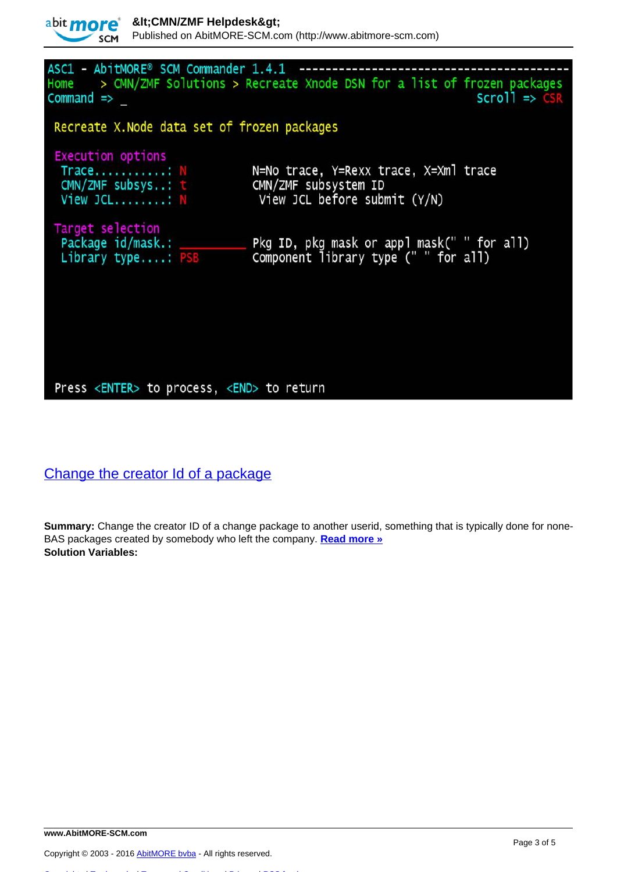

ASC1 - AbitMORE® SCM Commander 1.4.1 ----------------> CMN/ZMF Solutions > Recreate Xnode DSN for a list of frozen packages Home  $Command \Rightarrow$  $Scrol1 \Rightarrow CS$ Recreate X. Node data set of frozen packages **Execution options** N=No trace, Y=Rexx trace, X=Xml trace Trace...........: CMN/ZMF subsystem ID CMN/ZMF subsys..: t View JCL before submit (Y/N) View JCL........: N Target selection<br>Package id/mask.: \_\_\_\_\_\_\_\_\_\_\_ Pkg ID, pkg mask or appl mask(" " for all)<br>Component library type (" " for all) Library type....: PSB

#### Press <ENTER> to process, <END> to return

## [Change the creator Id of a package](http://www.abitmore-scm.com/products/commander/builtin-solutions/ascz0011)

**Summary:** Change the creator ID of a change package to another userid, something that is typically done for none-BAS packages created by somebody who left the company. **[Read more »](http://www.abitmore-scm.com/products/commander/builtin-solutions/ascz0011) Solution Variables:** 

[Copyrights](http://www.abitmore-scm.com/legal/copyrights) | [Trademarks](http://www.abitmore-scm.com/legal/trademarks) | [Terms and Conditions](http://www.abitmore-scm.com/legal/terms) | [Privacy](http://www.abitmore-scm.com/legal/privacy) | [RSS feeds](http://www.abitmore-scm.com/rss.xml)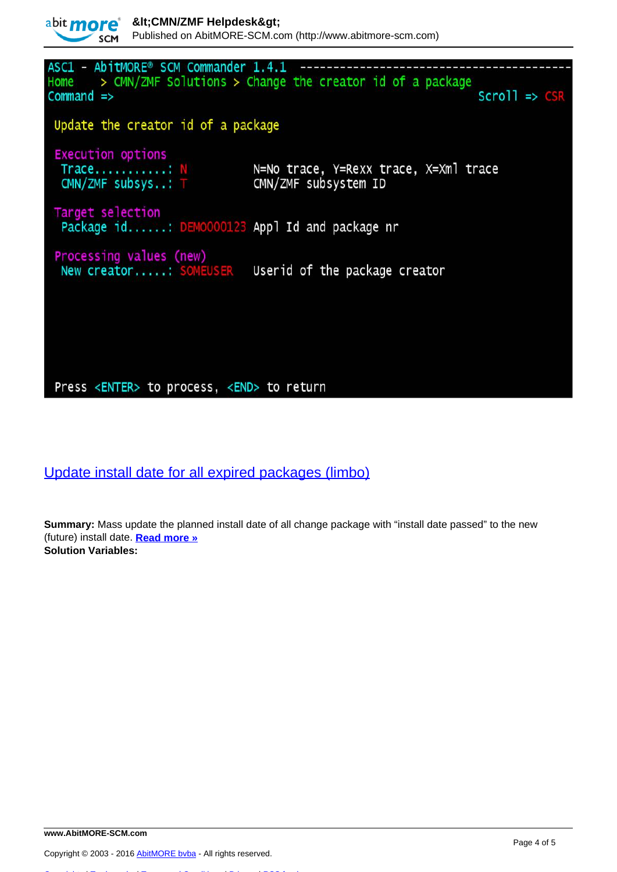

CMN/ZMF subsys..: T CMN/ZMF subsystem ID Target selection Package id......: DEM0000123 Appl Id and package nr

Processing values (new) New creator.....: SOMEUSER Userid of the package creator

### Press <ENTER> to process, <END> to return

Trace...........: N

[Update install date for all expired packages \(limbo\)](http://www.abitmore-scm.com/products/commander/builtin-solutions/ascz0301)

**Summary:** Mass update the planned install date of all change package with "install date passed" to the new (future) install date. **[Read more »](http://www.abitmore-scm.com/products/commander/builtin-solutions/ascz0301) Solution Variables:** 

[Copyrights](http://www.abitmore-scm.com/legal/copyrights) | [Trademarks](http://www.abitmore-scm.com/legal/trademarks) | [Terms and Conditions](http://www.abitmore-scm.com/legal/terms) | [Privacy](http://www.abitmore-scm.com/legal/privacy) | [RSS feeds](http://www.abitmore-scm.com/rss.xml)

 $scri$  =>  $CS$